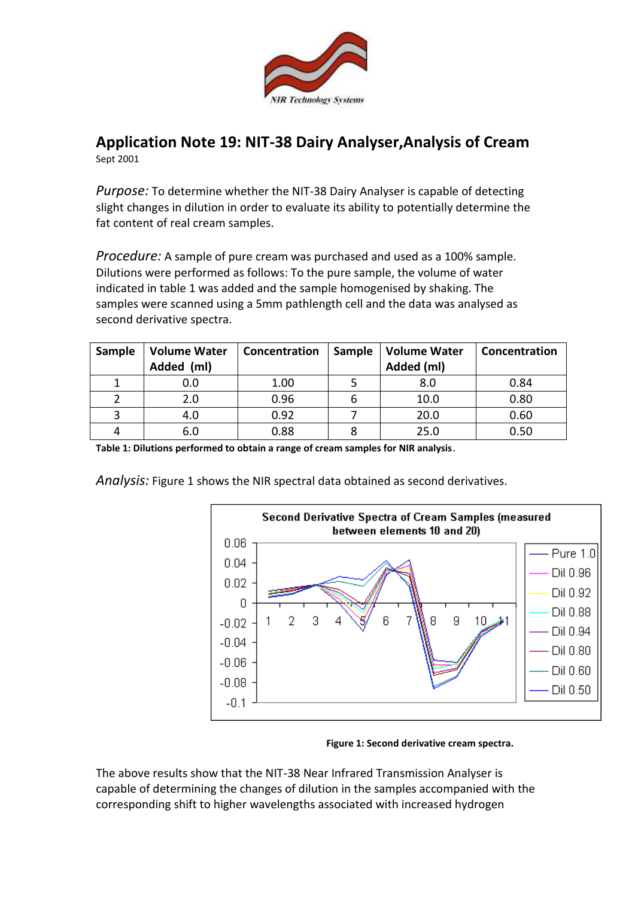

## **Application Note 19: NIT-38 Dairy Analyser,Analysis of Cream**  Sept 2001

*Purpose:* To determine whether the NIT-38 Dairy Analyser is capable of detecting slight changes in dilution in order to evaluate its ability to potentially determine the fat content of real cream samples.

*Procedure:* A sample of pure cream was purchased and used as a 100% sample. Dilutions were performed as follows: To the pure sample, the volume of water indicated in table 1 was added and the sample homogenised by shaking. The samples were scanned using a 5mm pathlength cell and the data was analysed as second derivative spectra.

| Sample | <b>Volume Water</b><br>Added (ml) | Concentration | Sample | <b>Volume Water</b><br>Added (ml) | Concentration |
|--------|-----------------------------------|---------------|--------|-----------------------------------|---------------|
|        | 0.0                               | 1.00          |        | 8.0                               | 0.84          |
|        | 2.0                               | 0.96          |        | 10.0                              | 0.80          |
|        | 4.0                               | 0.92          |        | 20.0                              | 0.60          |
|        | 6.0                               | 0.88          |        | 25.0                              | 0.50          |

**Table 1: Dilutions performed to obtain a range of cream samples for NIR analysis**.

*Analysis:* Figure 1 shows the NIR spectral data obtained as second derivatives.



**Figure 1: Second derivative cream spectra.**

The above results show that the NIT-38 Near Infrared Transmission Analyser is capable of determining the changes of dilution in the samples accompanied with the corresponding shift to higher wavelengths associated with increased hydrogen